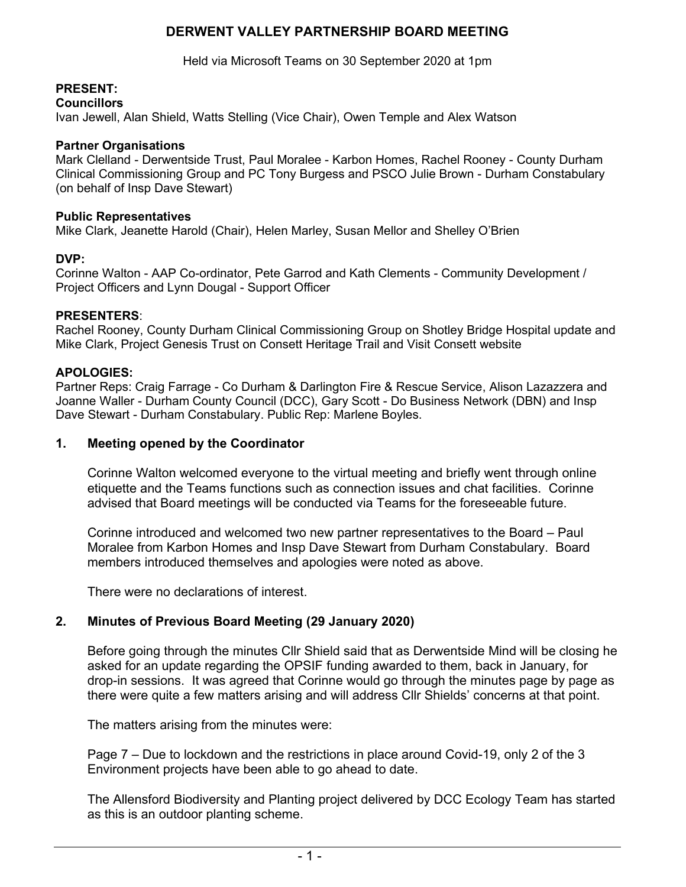## **DERWENT VALLEY PARTNERSHIP BOARD MEETING**

Held via Microsoft Teams on 30 September 2020 at 1pm

# **PRESENT:**

#### **Councillors**

Ivan Jewell, Alan Shield, Watts Stelling (Vice Chair), Owen Temple and Alex Watson

#### **Partner Organisations**

Mark Clelland - Derwentside Trust, Paul Moralee - Karbon Homes, Rachel Rooney - County Durham Clinical Commissioning Group and PC Tony Burgess and PSCO Julie Brown - Durham Constabulary (on behalf of Insp Dave Stewart)

#### **Public Representatives**

Mike Clark, Jeanette Harold (Chair), Helen Marley, Susan Mellor and Shelley O'Brien

## **DVP:**

Corinne Walton - AAP Co-ordinator, Pete Garrod and Kath Clements - Community Development / Project Officers and Lynn Dougal - Support Officer

#### **PRESENTERS**:

Rachel Rooney, County Durham Clinical Commissioning Group on Shotley Bridge Hospital update and Mike Clark, Project Genesis Trust on Consett Heritage Trail and Visit Consett website

## **APOLOGIES:**

Partner Reps: Craig Farrage - Co Durham & Darlington Fire & Rescue Service, Alison Lazazzera and Joanne Waller - Durham County Council (DCC), Gary Scott - Do Business Network (DBN) and Insp Dave Stewart - Durham Constabulary. Public Rep: Marlene Boyles.

#### **1. Meeting opened by the Coordinator**

Corinne Walton welcomed everyone to the virtual meeting and briefly went through online etiquette and the Teams functions such as connection issues and chat facilities. Corinne advised that Board meetings will be conducted via Teams for the foreseeable future.

Corinne introduced and welcomed two new partner representatives to the Board – Paul Moralee from Karbon Homes and Insp Dave Stewart from Durham Constabulary. Board members introduced themselves and apologies were noted as above.

There were no declarations of interest.

## **2. Minutes of Previous Board Meeting (29 January 2020)**

Before going through the minutes Cllr Shield said that as Derwentside Mind will be closing he asked for an update regarding the OPSIF funding awarded to them, back in January, for drop-in sessions. It was agreed that Corinne would go through the minutes page by page as there were quite a few matters arising and will address Cllr Shields' concerns at that point.

The matters arising from the minutes were:

Page 7 – Due to lockdown and the restrictions in place around Covid-19, only 2 of the 3 Environment projects have been able to go ahead to date.

The Allensford Biodiversity and Planting project delivered by DCC Ecology Team has started as this is an outdoor planting scheme.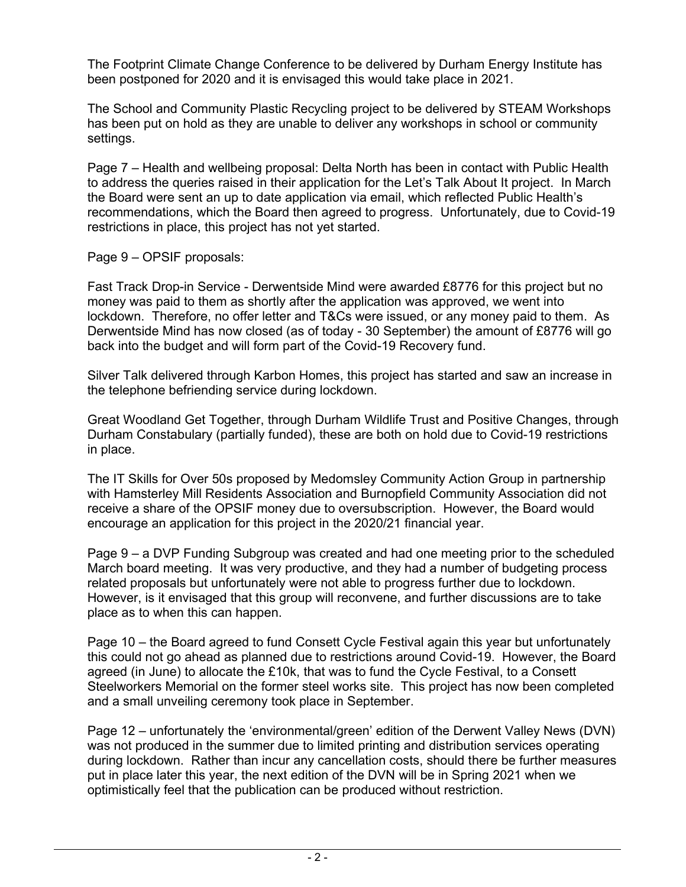The Footprint Climate Change Conference to be delivered by Durham Energy Institute has been postponed for 2020 and it is envisaged this would take place in 2021.

The School and Community Plastic Recycling project to be delivered by STEAM Workshops has been put on hold as they are unable to deliver any workshops in school or community settings.

Page 7 – Health and wellbeing proposal: Delta North has been in contact with Public Health to address the queries raised in their application for the Let's Talk About It project. In March the Board were sent an up to date application via email, which reflected Public Health's recommendations, which the Board then agreed to progress. Unfortunately, due to Covid-19 restrictions in place, this project has not yet started.

Page 9 – OPSIF proposals:

Fast Track Drop-in Service - Derwentside Mind were awarded £8776 for this project but no money was paid to them as shortly after the application was approved, we went into lockdown. Therefore, no offer letter and T&Cs were issued, or any money paid to them. As Derwentside Mind has now closed (as of today - 30 September) the amount of £8776 will go back into the budget and will form part of the Covid-19 Recovery fund.

Silver Talk delivered through Karbon Homes, this project has started and saw an increase in the telephone befriending service during lockdown.

Great Woodland Get Together, through Durham Wildlife Trust and Positive Changes, through Durham Constabulary (partially funded), these are both on hold due to Covid-19 restrictions in place.

The IT Skills for Over 50s proposed by Medomsley Community Action Group in partnership with Hamsterley Mill Residents Association and Burnopfield Community Association did not receive a share of the OPSIF money due to oversubscription. However, the Board would encourage an application for this project in the 2020/21 financial year.

Page 9 – a DVP Funding Subgroup was created and had one meeting prior to the scheduled March board meeting. It was very productive, and they had a number of budgeting process related proposals but unfortunately were not able to progress further due to lockdown. However, is it envisaged that this group will reconvene, and further discussions are to take place as to when this can happen.

Page 10 – the Board agreed to fund Consett Cycle Festival again this year but unfortunately this could not go ahead as planned due to restrictions around Covid-19. However, the Board agreed (in June) to allocate the £10k, that was to fund the Cycle Festival, to a Consett Steelworkers Memorial on the former steel works site. This project has now been completed and a small unveiling ceremony took place in September.

Page 12 – unfortunately the 'environmental/green' edition of the Derwent Valley News (DVN) was not produced in the summer due to limited printing and distribution services operating during lockdown. Rather than incur any cancellation costs, should there be further measures put in place later this year, the next edition of the DVN will be in Spring 2021 when we optimistically feel that the publication can be produced without restriction.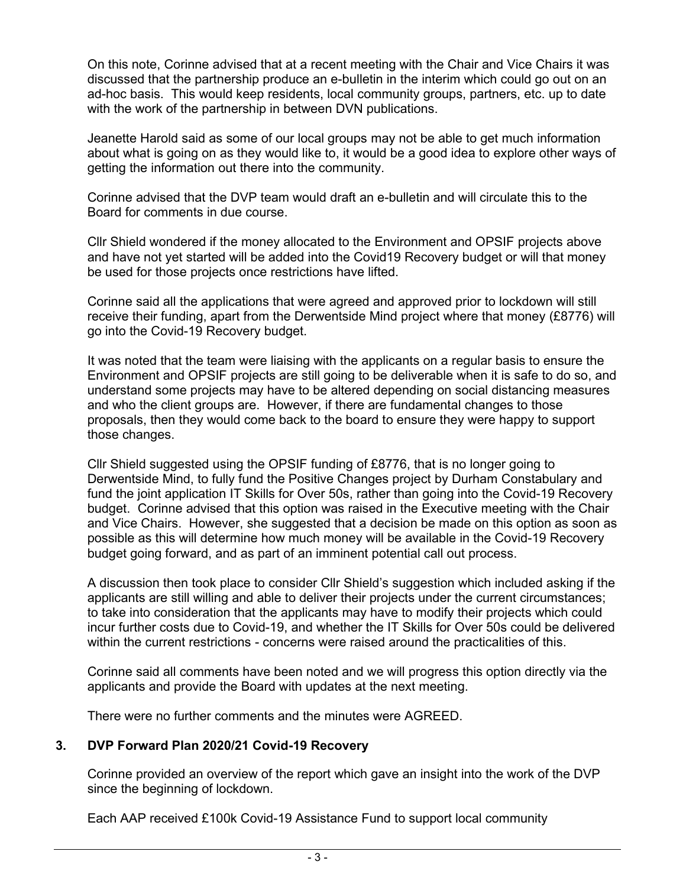On this note, Corinne advised that at a recent meeting with the Chair and Vice Chairs it was discussed that the partnership produce an e-bulletin in the interim which could go out on an ad-hoc basis. This would keep residents, local community groups, partners, etc. up to date with the work of the partnership in between DVN publications.

Jeanette Harold said as some of our local groups may not be able to get much information about what is going on as they would like to, it would be a good idea to explore other ways of getting the information out there into the community.

Corinne advised that the DVP team would draft an e-bulletin and will circulate this to the Board for comments in due course.

Cllr Shield wondered if the money allocated to the Environment and OPSIF projects above and have not yet started will be added into the Covid19 Recovery budget or will that money be used for those projects once restrictions have lifted.

Corinne said all the applications that were agreed and approved prior to lockdown will still receive their funding, apart from the Derwentside Mind project where that money (£8776) will go into the Covid-19 Recovery budget.

It was noted that the team were liaising with the applicants on a regular basis to ensure the Environment and OPSIF projects are still going to be deliverable when it is safe to do so, and understand some projects may have to be altered depending on social distancing measures and who the client groups are. However, if there are fundamental changes to those proposals, then they would come back to the board to ensure they were happy to support those changes.

Cllr Shield suggested using the OPSIF funding of £8776, that is no longer going to Derwentside Mind, to fully fund the Positive Changes project by Durham Constabulary and fund the joint application IT Skills for Over 50s, rather than going into the Covid-19 Recovery budget. Corinne advised that this option was raised in the Executive meeting with the Chair and Vice Chairs. However, she suggested that a decision be made on this option as soon as possible as this will determine how much money will be available in the Covid-19 Recovery budget going forward, and as part of an imminent potential call out process.

A discussion then took place to consider Cllr Shield's suggestion which included asking if the applicants are still willing and able to deliver their projects under the current circumstances; to take into consideration that the applicants may have to modify their projects which could incur further costs due to Covid-19, and whether the IT Skills for Over 50s could be delivered within the current restrictions - concerns were raised around the practicalities of this.

Corinne said all comments have been noted and we will progress this option directly via the applicants and provide the Board with updates at the next meeting.

There were no further comments and the minutes were AGREED.

## **3. DVP Forward Plan 2020/21 Covid-19 Recovery**

Corinne provided an overview of the report which gave an insight into the work of the DVP since the beginning of lockdown.

Each AAP received £100k Covid-19 Assistance Fund to support local community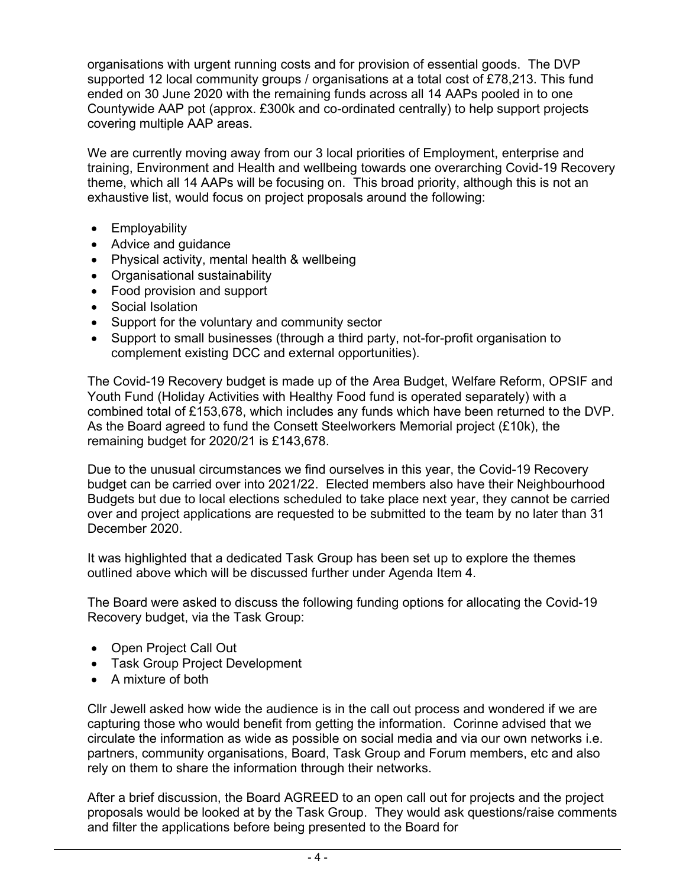organisations with urgent running costs and for provision of essential goods. The DVP supported 12 local community groups / organisations at a total cost of £78,213. This fund ended on 30 June 2020 with the remaining funds across all 14 AAPs pooled in to one Countywide AAP pot (approx. £300k and co-ordinated centrally) to help support projects covering multiple AAP areas.

We are currently moving away from our 3 local priorities of Employment, enterprise and training, Environment and Health and wellbeing towards one overarching Covid-19 Recovery theme, which all 14 AAPs will be focusing on. This broad priority, although this is not an exhaustive list, would focus on project proposals around the following:

- Employability
- Advice and guidance
- Physical activity, mental health & wellbeing
- Organisational sustainability
- Food provision and support
- Social Isolation
- Support for the voluntary and community sector
- Support to small businesses (through a third party, not-for-profit organisation to complement existing DCC and external opportunities).

The Covid-19 Recovery budget is made up of the Area Budget, Welfare Reform, OPSIF and Youth Fund (Holiday Activities with Healthy Food fund is operated separately) with a combined total of £153,678, which includes any funds which have been returned to the DVP. As the Board agreed to fund the Consett Steelworkers Memorial project (£10k), the remaining budget for 2020/21 is £143,678.

Due to the unusual circumstances we find ourselves in this year, the Covid-19 Recovery budget can be carried over into 2021/22. Elected members also have their Neighbourhood Budgets but due to local elections scheduled to take place next year, they cannot be carried over and project applications are requested to be submitted to the team by no later than 31 December 2020.

It was highlighted that a dedicated Task Group has been set up to explore the themes outlined above which will be discussed further under Agenda Item 4.

The Board were asked to discuss the following funding options for allocating the Covid-19 Recovery budget, via the Task Group:

- Open Project Call Out
- Task Group Project Development
- A mixture of both

Cllr Jewell asked how wide the audience is in the call out process and wondered if we are capturing those who would benefit from getting the information. Corinne advised that we circulate the information as wide as possible on social media and via our own networks i.e. partners, community organisations, Board, Task Group and Forum members, etc and also rely on them to share the information through their networks.

After a brief discussion, the Board AGREED to an open call out for projects and the project proposals would be looked at by the Task Group. They would ask questions/raise comments and filter the applications before being presented to the Board for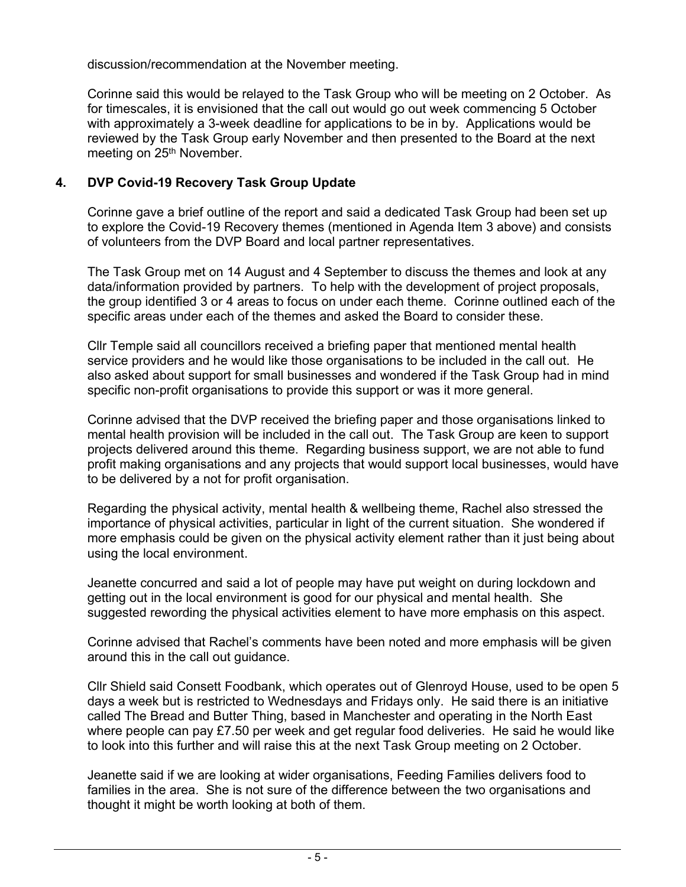discussion/recommendation at the November meeting.

Corinne said this would be relayed to the Task Group who will be meeting on 2 October. As for timescales, it is envisioned that the call out would go out week commencing 5 October with approximately a 3-week deadline for applications to be in by. Applications would be reviewed by the Task Group early November and then presented to the Board at the next meeting on 25<sup>th</sup> November.

## **4. DVP Covid-19 Recovery Task Group Update**

Corinne gave a brief outline of the report and said a dedicated Task Group had been set up to explore the Covid-19 Recovery themes (mentioned in Agenda Item 3 above) and consists of volunteers from the DVP Board and local partner representatives.

The Task Group met on 14 August and 4 September to discuss the themes and look at any data/information provided by partners. To help with the development of project proposals, the group identified 3 or 4 areas to focus on under each theme. Corinne outlined each of the specific areas under each of the themes and asked the Board to consider these.

Cllr Temple said all councillors received a briefing paper that mentioned mental health service providers and he would like those organisations to be included in the call out. He also asked about support for small businesses and wondered if the Task Group had in mind specific non-profit organisations to provide this support or was it more general.

Corinne advised that the DVP received the briefing paper and those organisations linked to mental health provision will be included in the call out. The Task Group are keen to support projects delivered around this theme. Regarding business support, we are not able to fund profit making organisations and any projects that would support local businesses, would have to be delivered by a not for profit organisation.

Regarding the physical activity, mental health & wellbeing theme, Rachel also stressed the importance of physical activities, particular in light of the current situation. She wondered if more emphasis could be given on the physical activity element rather than it just being about using the local environment.

Jeanette concurred and said a lot of people may have put weight on during lockdown and getting out in the local environment is good for our physical and mental health. She suggested rewording the physical activities element to have more emphasis on this aspect.

Corinne advised that Rachel's comments have been noted and more emphasis will be given around this in the call out guidance.

Cllr Shield said Consett Foodbank, which operates out of Glenroyd House, used to be open 5 days a week but is restricted to Wednesdays and Fridays only. He said there is an initiative called The Bread and Butter Thing, based in Manchester and operating in the North East where people can pay £7.50 per week and get regular food deliveries. He said he would like to look into this further and will raise this at the next Task Group meeting on 2 October.

Jeanette said if we are looking at wider organisations, Feeding Families delivers food to families in the area. She is not sure of the difference between the two organisations and thought it might be worth looking at both of them.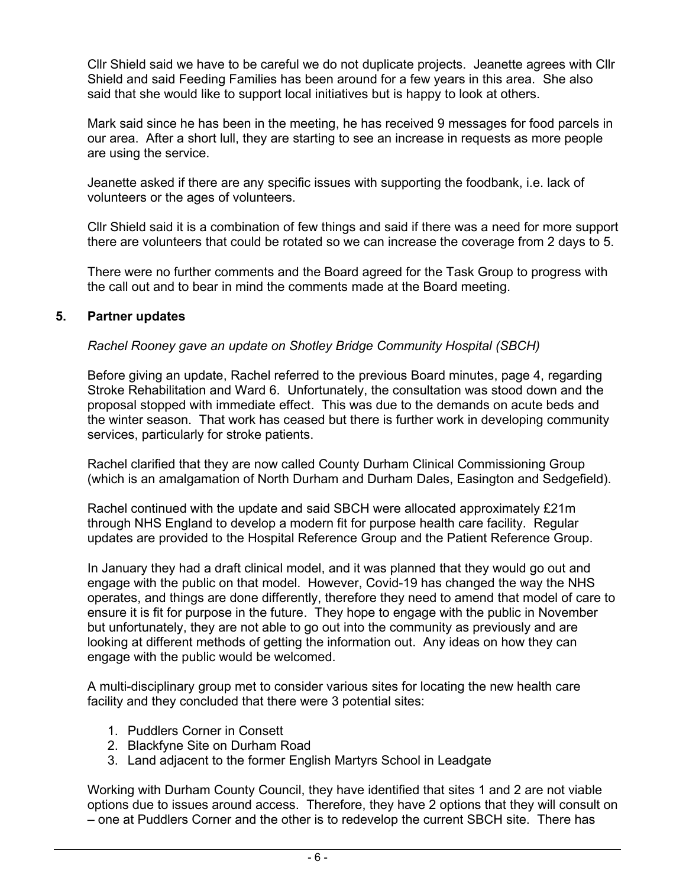Cllr Shield said we have to be careful we do not duplicate projects. Jeanette agrees with Cllr Shield and said Feeding Families has been around for a few years in this area. She also said that she would like to support local initiatives but is happy to look at others.

Mark said since he has been in the meeting, he has received 9 messages for food parcels in our area. After a short lull, they are starting to see an increase in requests as more people are using the service.

Jeanette asked if there are any specific issues with supporting the foodbank, i.e. lack of volunteers or the ages of volunteers.

Cllr Shield said it is a combination of few things and said if there was a need for more support there are volunteers that could be rotated so we can increase the coverage from 2 days to 5.

There were no further comments and the Board agreed for the Task Group to progress with the call out and to bear in mind the comments made at the Board meeting.

#### **5. Partner updates**

#### *Rachel Rooney gave an update on Shotley Bridge Community Hospital (SBCH)*

Before giving an update, Rachel referred to the previous Board minutes, page 4, regarding Stroke Rehabilitation and Ward 6. Unfortunately, the consultation was stood down and the proposal stopped with immediate effect. This was due to the demands on acute beds and the winter season. That work has ceased but there is further work in developing community services, particularly for stroke patients.

Rachel clarified that they are now called County Durham Clinical Commissioning Group (which is an amalgamation of North Durham and Durham Dales, Easington and Sedgefield).

Rachel continued with the update and said SBCH were allocated approximately £21m through NHS England to develop a modern fit for purpose health care facility. Regular updates are provided to the Hospital Reference Group and the Patient Reference Group.

In January they had a draft clinical model, and it was planned that they would go out and engage with the public on that model. However, Covid-19 has changed the way the NHS operates, and things are done differently, therefore they need to amend that model of care to ensure it is fit for purpose in the future. They hope to engage with the public in November but unfortunately, they are not able to go out into the community as previously and are looking at different methods of getting the information out. Any ideas on how they can engage with the public would be welcomed.

A multi-disciplinary group met to consider various sites for locating the new health care facility and they concluded that there were 3 potential sites:

- 1. Puddlers Corner in Consett
- 2. Blackfyne Site on Durham Road
- 3. Land adjacent to the former English Martyrs School in Leadgate

Working with Durham County Council, they have identified that sites 1 and 2 are not viable options due to issues around access. Therefore, they have 2 options that they will consult on – one at Puddlers Corner and the other is to redevelop the current SBCH site. There has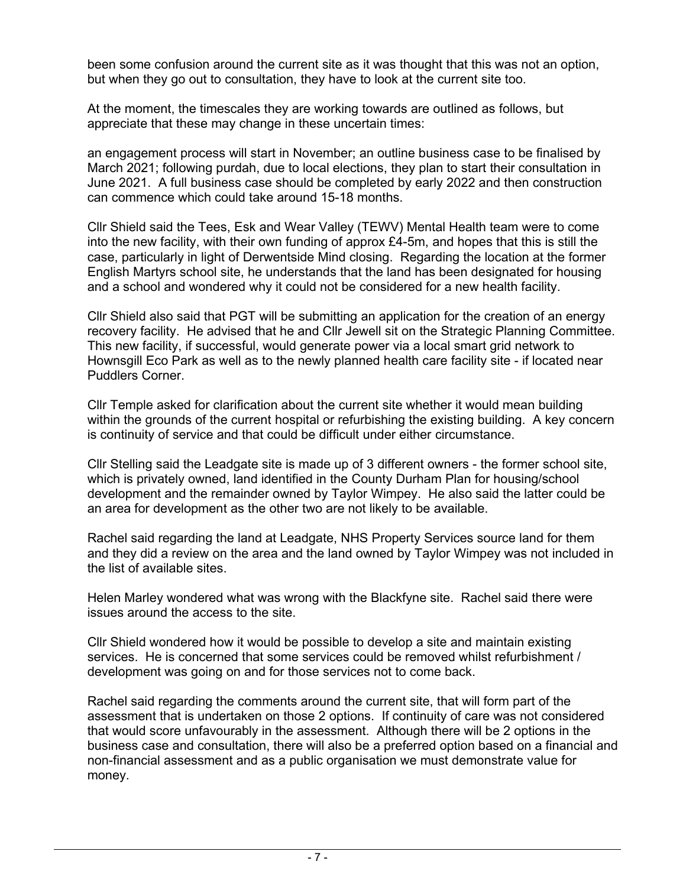been some confusion around the current site as it was thought that this was not an option, but when they go out to consultation, they have to look at the current site too.

At the moment, the timescales they are working towards are outlined as follows, but appreciate that these may change in these uncertain times:

an engagement process will start in November; an outline business case to be finalised by March 2021; following purdah, due to local elections, they plan to start their consultation in June 2021. A full business case should be completed by early 2022 and then construction can commence which could take around 15-18 months.

Cllr Shield said the Tees, Esk and Wear Valley (TEWV) Mental Health team were to come into the new facility, with their own funding of approx £4-5m, and hopes that this is still the case, particularly in light of Derwentside Mind closing. Regarding the location at the former English Martyrs school site, he understands that the land has been designated for housing and a school and wondered why it could not be considered for a new health facility.

Cllr Shield also said that PGT will be submitting an application for the creation of an energy recovery facility. He advised that he and Cllr Jewell sit on the Strategic Planning Committee. This new facility, if successful, would generate power via a local smart grid network to Hownsgill Eco Park as well as to the newly planned health care facility site - if located near Puddlers Corner.

Cllr Temple asked for clarification about the current site whether it would mean building within the grounds of the current hospital or refurbishing the existing building. A key concern is continuity of service and that could be difficult under either circumstance.

Cllr Stelling said the Leadgate site is made up of 3 different owners - the former school site, which is privately owned, land identified in the County Durham Plan for housing/school development and the remainder owned by Taylor Wimpey. He also said the latter could be an area for development as the other two are not likely to be available.

Rachel said regarding the land at Leadgate, NHS Property Services source land for them and they did a review on the area and the land owned by Taylor Wimpey was not included in the list of available sites.

Helen Marley wondered what was wrong with the Blackfyne site. Rachel said there were issues around the access to the site.

Cllr Shield wondered how it would be possible to develop a site and maintain existing services. He is concerned that some services could be removed whilst refurbishment / development was going on and for those services not to come back.

Rachel said regarding the comments around the current site, that will form part of the assessment that is undertaken on those 2 options. If continuity of care was not considered that would score unfavourably in the assessment. Although there will be 2 options in the business case and consultation, there will also be a preferred option based on a financial and non-financial assessment and as a public organisation we must demonstrate value for money.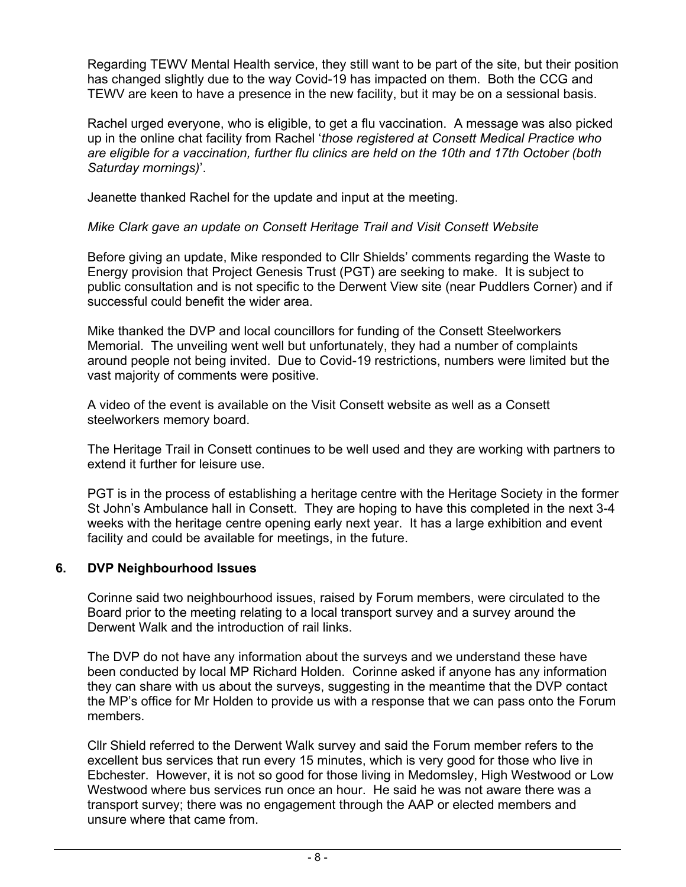Regarding TEWV Mental Health service, they still want to be part of the site, but their position has changed slightly due to the way Covid-19 has impacted on them. Both the CCG and TEWV are keen to have a presence in the new facility, but it may be on a sessional basis.

Rachel urged everyone, who is eligible, to get a flu vaccination. A message was also picked up in the online chat facility from Rachel '*those registered at Consett Medical Practice who are eligible for a vaccination, further flu clinics are held on the 10th and 17th October (both Saturday mornings)*'.

Jeanette thanked Rachel for the update and input at the meeting.

*Mike Clark gave an update on Consett Heritage Trail and Visit Consett Website*

Before giving an update, Mike responded to Cllr Shields' comments regarding the Waste to Energy provision that Project Genesis Trust (PGT) are seeking to make. It is subject to public consultation and is not specific to the Derwent View site (near Puddlers Corner) and if successful could benefit the wider area.

Mike thanked the DVP and local councillors for funding of the Consett Steelworkers Memorial. The unveiling went well but unfortunately, they had a number of complaints around people not being invited. Due to Covid-19 restrictions, numbers were limited but the vast majority of comments were positive.

A video of the event is available on the Visit Consett website as well as a Consett steelworkers memory board.

The Heritage Trail in Consett continues to be well used and they are working with partners to extend it further for leisure use.

PGT is in the process of establishing a heritage centre with the Heritage Society in the former St John's Ambulance hall in Consett. They are hoping to have this completed in the next 3-4 weeks with the heritage centre opening early next year. It has a large exhibition and event facility and could be available for meetings, in the future.

## **6. DVP Neighbourhood Issues**

Corinne said two neighbourhood issues, raised by Forum members, were circulated to the Board prior to the meeting relating to a local transport survey and a survey around the Derwent Walk and the introduction of rail links.

The DVP do not have any information about the surveys and we understand these have been conducted by local MP Richard Holden. Corinne asked if anyone has any information they can share with us about the surveys, suggesting in the meantime that the DVP contact the MP's office for Mr Holden to provide us with a response that we can pass onto the Forum members.

Cllr Shield referred to the Derwent Walk survey and said the Forum member refers to the excellent bus services that run every 15 minutes, which is very good for those who live in Ebchester. However, it is not so good for those living in Medomsley, High Westwood or Low Westwood where bus services run once an hour. He said he was not aware there was a transport survey; there was no engagement through the AAP or elected members and unsure where that came from.